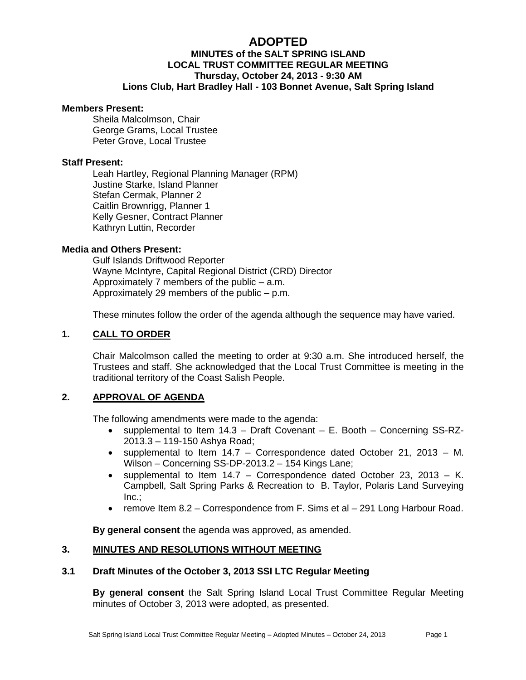# **ADOPTED**

## **MINUTES of the SALT SPRING ISLAND LOCAL TRUST COMMITTEE REGULAR MEETING Thursday, October 24, 2013 - 9:30 AM Lions Club, Hart Bradley Hall - 103 Bonnet Avenue, Salt Spring Island**

#### **Members Present:**

Sheila Malcolmson, Chair George Grams, Local Trustee Peter Grove, Local Trustee

#### **Staff Present:**

Leah Hartley, Regional Planning Manager (RPM) Justine Starke, Island Planner Stefan Cermak, Planner 2 Caitlin Brownrigg, Planner 1 Kelly Gesner, Contract Planner Kathryn Luttin, Recorder

#### **Media and Others Present:**

Gulf Islands Driftwood Reporter Wayne McIntyre, Capital Regional District (CRD) Director Approximately 7 members of the public – a.m. Approximately 29 members of the public – p.m.

These minutes follow the order of the agenda although the sequence may have varied.

#### **1. CALL TO ORDER**

Chair Malcolmson called the meeting to order at 9:30 a.m. She introduced herself, the Trustees and staff. She acknowledged that the Local Trust Committee is meeting in the traditional territory of the Coast Salish People.

#### **2. APPROVAL OF AGENDA**

The following amendments were made to the agenda:

- supplemental to Item 14.3 Draft Covenant E. Booth Concerning SS-RZ-2013.3 – 119-150 Ashya Road;
- supplemental to Item 14.7 Correspondence dated October 21, 2013 M. Wilson – Concerning SS-DP-2013.2 – 154 Kings Lane;
- supplemental to Item  $14.7$  Correspondence dated October 23, 2013 K. Campbell, Salt Spring Parks & Recreation to B. Taylor, Polaris Land Surveying Inc.;
- remove Item 8.2 Correspondence from F. Sims et al 291 Long Harbour Road.

**By general consent** the agenda was approved, as amended.

#### **3. MINUTES AND RESOLUTIONS WITHOUT MEETING**

#### **3.1 Draft Minutes of the October 3, 2013 SSI LTC Regular Meeting**

**By general consent** the Salt Spring Island Local Trust Committee Regular Meeting minutes of October 3, 2013 were adopted, as presented.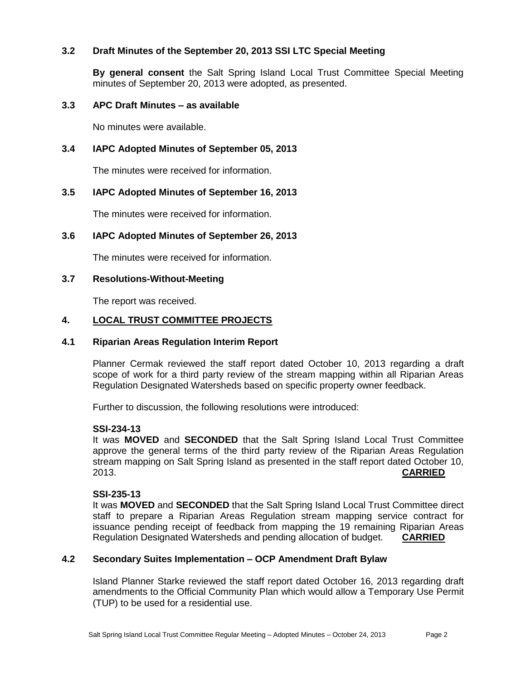### **3.2 Draft Minutes of the September 20, 2013 SSI LTC Special Meeting**

**By general consent** the Salt Spring Island Local Trust Committee Special Meeting minutes of September 20, 2013 were adopted, as presented.

## **3.3 APC Draft Minutes – as available**

No minutes were available.

### **3.4 IAPC Adopted Minutes of September 05, 2013**

The minutes were received for information.

#### **3.5 IAPC Adopted Minutes of September 16, 2013**

The minutes were received for information.

#### **3.6 IAPC Adopted Minutes of September 26, 2013**

The minutes were received for information.

#### **3.7 Resolutions-Without-Meeting**

The report was received.

#### **4. LOCAL TRUST COMMITTEE PROJECTS**

### **4.1 Riparian Areas Regulation Interim Report**

Planner Cermak reviewed the staff report dated October 10, 2013 regarding a draft scope of work for a third party review of the stream mapping within all Riparian Areas Regulation Designated Watersheds based on specific property owner feedback.

Further to discussion, the following resolutions were introduced:

#### **SSI-234-13**

It was **MOVED** and **SECONDED** that the Salt Spring Island Local Trust Committee approve the general terms of the third party review of the Riparian Areas Regulation stream mapping on Salt Spring Island as presented in the staff report dated October 10, 2013. **CARRIED**

#### **SSI-235-13**

It was **MOVED** and **SECONDED** that the Salt Spring Island Local Trust Committee direct staff to prepare a Riparian Areas Regulation stream mapping service contract for issuance pending receipt of feedback from mapping the 19 remaining Riparian Areas Regulation Designated Watersheds and pending allocation of budget. **CARRIED**

## **4.2 Secondary Suites Implementation – OCP Amendment Draft Bylaw**

Island Planner Starke reviewed the staff report dated October 16, 2013 regarding draft amendments to the Official Community Plan which would allow a Temporary Use Permit (TUP) to be used for a residential use.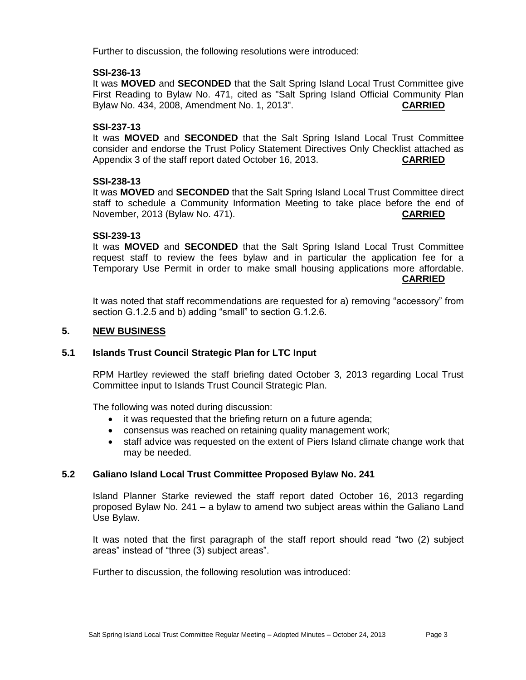Further to discussion, the following resolutions were introduced:

#### **SSI-236-13**

It was **MOVED** and **SECONDED** that the Salt Spring Island Local Trust Committee give First Reading to Bylaw No. 471, cited as "Salt Spring Island Official Community Plan Bylaw No. 434, 2008, Amendment No. 1, 2013". **CARRIED**

#### **SSI-237-13**

It was **MOVED** and **SECONDED** that the Salt Spring Island Local Trust Committee consider and endorse the Trust Policy Statement Directives Only Checklist attached as Appendix 3 of the staff report dated October 16, 2013. **CARRIED**

#### **SSI-238-13**

It was **MOVED** and **SECONDED** that the Salt Spring Island Local Trust Committee direct staff to schedule a Community Information Meeting to take place before the end of November, 2013 (Bylaw No. 471). **CARRIED**

#### **SSI-239-13**

It was **MOVED** and **SECONDED** that the Salt Spring Island Local Trust Committee request staff to review the fees bylaw and in particular the application fee for a Temporary Use Permit in order to make small housing applications more affordable. **CARRIED**

It was noted that staff recommendations are requested for a) removing "accessory" from section G.1.2.5 and b) adding "small" to section G.1.2.6.

## **5. NEW BUSINESS**

#### **5.1 Islands Trust Council Strategic Plan for LTC Input**

RPM Hartley reviewed the staff briefing dated October 3, 2013 regarding Local Trust Committee input to Islands Trust Council Strategic Plan.

The following was noted during discussion:

- it was requested that the briefing return on a future agenda;
- consensus was reached on retaining quality management work;
- staff advice was requested on the extent of Piers Island climate change work that may be needed.

#### **5.2 Galiano Island Local Trust Committee Proposed Bylaw No. 241**

Island Planner Starke reviewed the staff report dated October 16, 2013 regarding proposed Bylaw No. 241 – a bylaw to amend two subject areas within the Galiano Land Use Bylaw.

It was noted that the first paragraph of the staff report should read "two (2) subject areas" instead of "three (3) subject areas".

Further to discussion, the following resolution was introduced: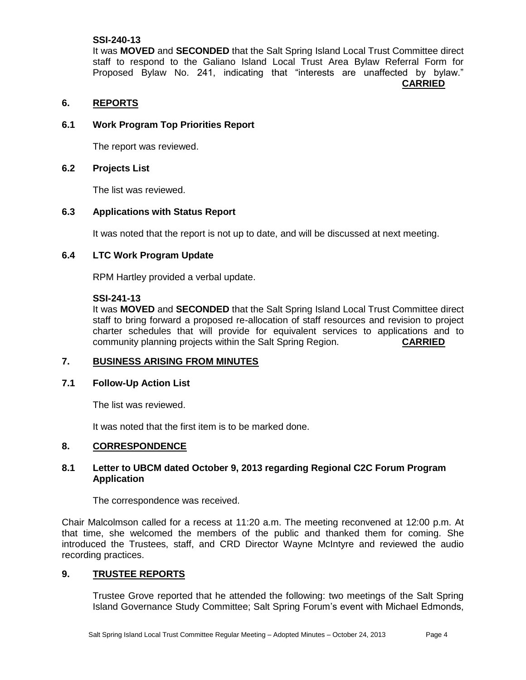### **SSI-240-13**

It was **MOVED** and **SECONDED** that the Salt Spring Island Local Trust Committee direct staff to respond to the Galiano Island Local Trust Area Bylaw Referral Form for Proposed Bylaw No. 241, indicating that "interests are unaffected by bylaw." **CARRIED**

### **6. REPORTS**

### **6.1 Work Program Top Priorities Report**

The report was reviewed.

### **6.2 Projects List**

The list was reviewed.

### **6.3 Applications with Status Report**

It was noted that the report is not up to date, and will be discussed at next meeting.

### **6.4 LTC Work Program Update**

RPM Hartley provided a verbal update.

#### **SSI-241-13**

It was **MOVED** and **SECONDED** that the Salt Spring Island Local Trust Committee direct staff to bring forward a proposed re-allocation of staff resources and revision to project charter schedules that will provide for equivalent services to applications and to community planning projects within the Salt Spring Region. **CARRIED**

#### **7. BUSINESS ARISING FROM MINUTES**

#### **7.1 Follow-Up Action List**

The list was reviewed.

It was noted that the first item is to be marked done.

#### **8. CORRESPONDENCE**

### **8.1 Letter to UBCM dated October 9, 2013 regarding Regional C2C Forum Program Application**

The correspondence was received.

Chair Malcolmson called for a recess at 11:20 a.m. The meeting reconvened at 12:00 p.m. At that time, she welcomed the members of the public and thanked them for coming. She introduced the Trustees, staff, and CRD Director Wayne McIntyre and reviewed the audio recording practices.

#### **9. TRUSTEE REPORTS**

Trustee Grove reported that he attended the following: two meetings of the Salt Spring Island Governance Study Committee; Salt Spring Forum's event with Michael Edmonds,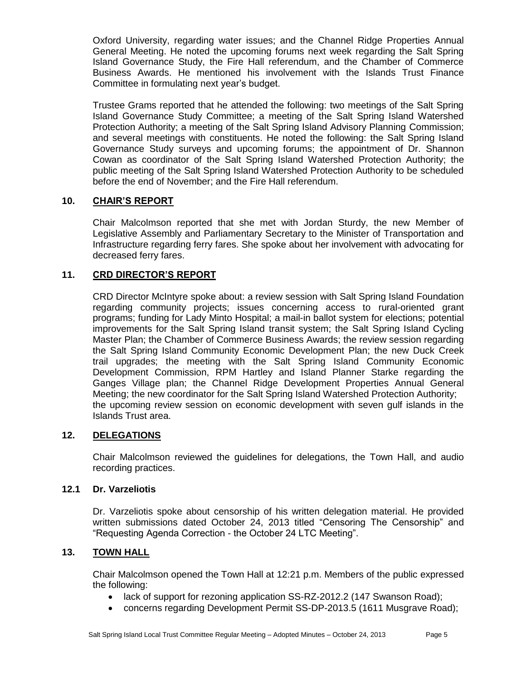Oxford University, regarding water issues; and the Channel Ridge Properties Annual General Meeting. He noted the upcoming forums next week regarding the Salt Spring Island Governance Study, the Fire Hall referendum, and the Chamber of Commerce Business Awards. He mentioned his involvement with the Islands Trust Finance Committee in formulating next year's budget.

Trustee Grams reported that he attended the following: two meetings of the Salt Spring Island Governance Study Committee; a meeting of the Salt Spring Island Watershed Protection Authority; a meeting of the Salt Spring Island Advisory Planning Commission; and several meetings with constituents. He noted the following: the Salt Spring Island Governance Study surveys and upcoming forums; the appointment of Dr. Shannon Cowan as coordinator of the Salt Spring Island Watershed Protection Authority; the public meeting of the Salt Spring Island Watershed Protection Authority to be scheduled before the end of November; and the Fire Hall referendum.

## **10. CHAIR'S REPORT**

Chair Malcolmson reported that she met with Jordan Sturdy, the new Member of Legislative Assembly and Parliamentary Secretary to the Minister of Transportation and Infrastructure regarding ferry fares. She spoke about her involvement with advocating for decreased ferry fares.

## **11. CRD DIRECTOR'S REPORT**

CRD Director McIntyre spoke about: a review session with Salt Spring Island Foundation regarding community projects; issues concerning access to rural-oriented grant programs; funding for Lady Minto Hospital; a mail-in ballot system for elections; potential improvements for the Salt Spring Island transit system; the Salt Spring Island Cycling Master Plan; the Chamber of Commerce Business Awards; the review session regarding the Salt Spring Island Community Economic Development Plan; the new Duck Creek trail upgrades; the meeting with the Salt Spring Island Community Economic Development Commission, RPM Hartley and Island Planner Starke regarding the Ganges Village plan; the Channel Ridge Development Properties Annual General Meeting; the new coordinator for the Salt Spring Island Watershed Protection Authority; the upcoming review session on economic development with seven gulf islands in the Islands Trust area.

## **12. DELEGATIONS**

Chair Malcolmson reviewed the guidelines for delegations, the Town Hall, and audio recording practices.

#### **12.1 Dr. Varzeliotis**

Dr. Varzeliotis spoke about censorship of his written delegation material. He provided written submissions dated October 24, 2013 titled "Censoring The Censorship" and "Requesting Agenda Correction - the October 24 LTC Meeting".

## **13. TOWN HALL**

Chair Malcolmson opened the Town Hall at 12:21 p.m. Members of the public expressed the following:

- lack of support for rezoning application SS-RZ-2012.2 (147 Swanson Road);
- concerns regarding Development Permit SS-DP-2013.5 (1611 Musgrave Road);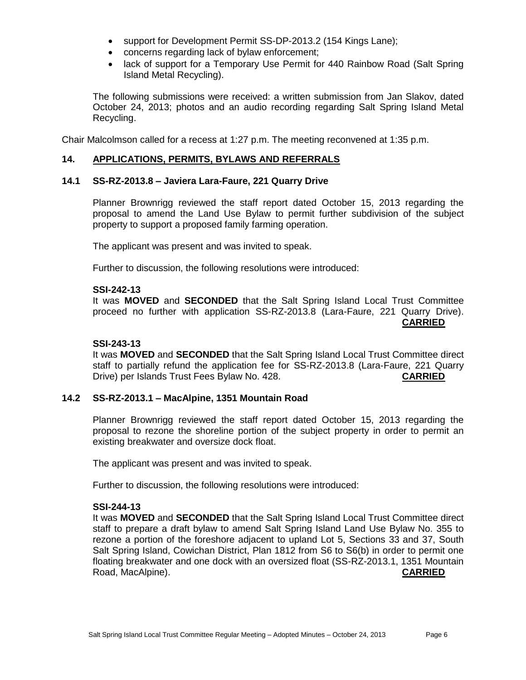- support for Development Permit SS-DP-2013.2 (154 Kings Lane);
- concerns regarding lack of bylaw enforcement;
- lack of support for a Temporary Use Permit for 440 Rainbow Road (Salt Spring Island Metal Recycling).

The following submissions were received: a written submission from Jan Slakov, dated October 24, 2013; photos and an audio recording regarding Salt Spring Island Metal Recycling.

Chair Malcolmson called for a recess at 1:27 p.m. The meeting reconvened at 1:35 p.m.

### **14. APPLICATIONS, PERMITS, BYLAWS AND REFERRALS**

### **14.1 SS-RZ-2013.8 – Javiera Lara-Faure, 221 Quarry Drive**

Planner Brownrigg reviewed the staff report dated October 15, 2013 regarding the proposal to amend the Land Use Bylaw to permit further subdivision of the subject property to support a proposed family farming operation.

The applicant was present and was invited to speak.

Further to discussion, the following resolutions were introduced:

#### **SSI-242-13**

It was **MOVED** and **SECONDED** that the Salt Spring Island Local Trust Committee proceed no further with application SS-RZ-2013.8 (Lara-Faure, 221 Quarry Drive). **CARRIED**

#### **SSI-243-13**

It was **MOVED** and **SECONDED** that the Salt Spring Island Local Trust Committee direct staff to partially refund the application fee for SS-RZ-2013.8 (Lara-Faure, 221 Quarry Drive) per Islands Trust Fees Bylaw No. 428. **CARRIED**

#### **14.2 SS-RZ-2013.1 – MacAlpine, 1351 Mountain Road**

Planner Brownrigg reviewed the staff report dated October 15, 2013 regarding the proposal to rezone the shoreline portion of the subject property in order to permit an existing breakwater and oversize dock float.

The applicant was present and was invited to speak.

Further to discussion, the following resolutions were introduced:

#### **SSI-244-13**

It was **MOVED** and **SECONDED** that the Salt Spring Island Local Trust Committee direct staff to prepare a draft bylaw to amend Salt Spring Island Land Use Bylaw No. 355 to rezone a portion of the foreshore adjacent to upland Lot 5, Sections 33 and 37, South Salt Spring Island, Cowichan District, Plan 1812 from S6 to S6(b) in order to permit one floating breakwater and one dock with an oversized float (SS-RZ-2013.1, 1351 Mountain Road, MacAlpine). **CARRIED**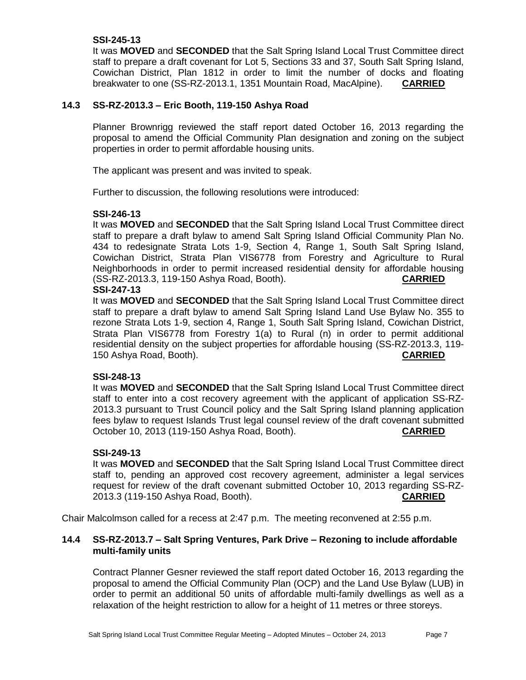### **SSI-245-13**

It was **MOVED** and **SECONDED** that the Salt Spring Island Local Trust Committee direct staff to prepare a draft covenant for Lot 5, Sections 33 and 37, South Salt Spring Island, Cowichan District, Plan 1812 in order to limit the number of docks and floating breakwater to one (SS-RZ-2013.1, 1351 Mountain Road, MacAlpine). **CARRIED**

## **14.3 SS-RZ-2013.3 – Eric Booth, 119-150 Ashya Road**

Planner Brownrigg reviewed the staff report dated October 16, 2013 regarding the proposal to amend the Official Community Plan designation and zoning on the subject properties in order to permit affordable housing units.

The applicant was present and was invited to speak.

Further to discussion, the following resolutions were introduced:

#### **SSI-246-13**

It was **MOVED** and **SECONDED** that the Salt Spring Island Local Trust Committee direct staff to prepare a draft bylaw to amend Salt Spring Island Official Community Plan No. 434 to redesignate Strata Lots 1-9, Section 4, Range 1, South Salt Spring Island, Cowichan District, Strata Plan VIS6778 from Forestry and Agriculture to Rural Neighborhoods in order to permit increased residential density for affordable housing (SS-RZ-2013.3, 119-150 Ashya Road, Booth). **CARRIED**

#### **SSI-247-13**

It was **MOVED** and **SECONDED** that the Salt Spring Island Local Trust Committee direct staff to prepare a draft bylaw to amend Salt Spring Island Land Use Bylaw No. 355 to rezone Strata Lots 1-9, section 4, Range 1, South Salt Spring Island, Cowichan District, Strata Plan VIS6778 from Forestry 1(a) to Rural (n) in order to permit additional residential density on the subject properties for affordable housing (SS-RZ-2013.3, 119- 150 Ashya Road, Booth). **CARRIED**

#### **SSI-248-13**

It was **MOVED** and **SECONDED** that the Salt Spring Island Local Trust Committee direct staff to enter into a cost recovery agreement with the applicant of application SS-RZ-2013.3 pursuant to Trust Council policy and the Salt Spring Island planning application fees bylaw to request Islands Trust legal counsel review of the draft covenant submitted October 10, 2013 (119-150 Ashya Road, Booth). **CARRIED**

#### **SSI-249-13**

It was **MOVED** and **SECONDED** that the Salt Spring Island Local Trust Committee direct staff to, pending an approved cost recovery agreement, administer a legal services request for review of the draft covenant submitted October 10, 2013 regarding SS-RZ-2013.3 (119-150 Ashya Road, Booth). **CARRIED**

Chair Malcolmson called for a recess at 2:47 p.m. The meeting reconvened at 2:55 p.m.

### **14.4 SS-RZ-2013.7 – Salt Spring Ventures, Park Drive – Rezoning to include affordable multi-family units**

Contract Planner Gesner reviewed the staff report dated October 16, 2013 regarding the proposal to amend the Official Community Plan (OCP) and the Land Use Bylaw (LUB) in order to permit an additional 50 units of affordable multi-family dwellings as well as a relaxation of the height restriction to allow for a height of 11 metres or three storeys.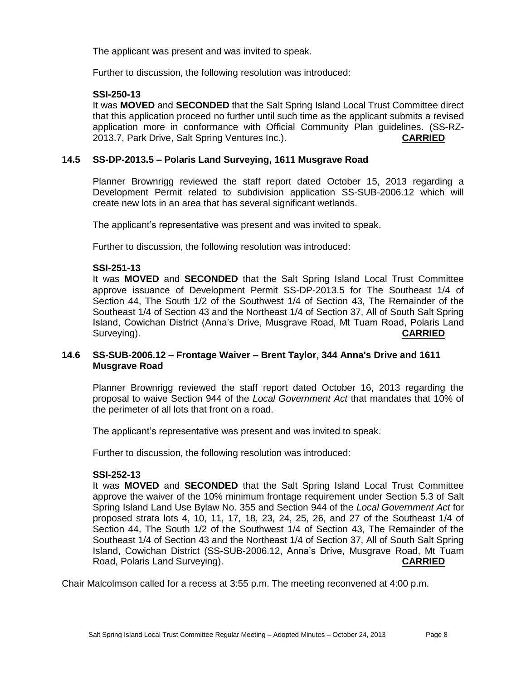The applicant was present and was invited to speak.

Further to discussion, the following resolution was introduced:

### **SSI-250-13**

It was **MOVED** and **SECONDED** that the Salt Spring Island Local Trust Committee direct that this application proceed no further until such time as the applicant submits a revised application more in conformance with Official Community Plan guidelines. (SS-RZ-2013.7, Park Drive, Salt Spring Ventures Inc.). **CARRIED**

### **14.5 SS-DP-2013.5 – Polaris Land Surveying, 1611 Musgrave Road**

Planner Brownrigg reviewed the staff report dated October 15, 2013 regarding a Development Permit related to subdivision application SS-SUB-2006.12 which will create new lots in an area that has several significant wetlands.

The applicant's representative was present and was invited to speak.

Further to discussion, the following resolution was introduced:

#### **SSI-251-13**

It was **MOVED** and **SECONDED** that the Salt Spring Island Local Trust Committee approve issuance of Development Permit SS-DP-2013.5 for The Southeast 1/4 of Section 44, The South 1/2 of the Southwest 1/4 of Section 43, The Remainder of the Southeast 1/4 of Section 43 and the Northeast 1/4 of Section 37, All of South Salt Spring Island, Cowichan District (Anna's Drive, Musgrave Road, Mt Tuam Road, Polaris Land Surveying). **CARRIED**

### **14.6 SS-SUB-2006.12 – Frontage Waiver – Brent Taylor, 344 Anna's Drive and 1611 Musgrave Road**

Planner Brownrigg reviewed the staff report dated October 16, 2013 regarding the proposal to waive Section 944 of the *Local Government Act* that mandates that 10% of the perimeter of all lots that front on a road.

The applicant's representative was present and was invited to speak.

Further to discussion, the following resolution was introduced:

#### **SSI-252-13**

It was **MOVED** and **SECONDED** that the Salt Spring Island Local Trust Committee approve the waiver of the 10% minimum frontage requirement under Section 5.3 of Salt Spring Island Land Use Bylaw No. 355 and Section 944 of the *Local Government Act* for proposed strata lots 4, 10, 11, 17, 18, 23, 24, 25, 26, and 27 of the Southeast 1/4 of Section 44, The South 1/2 of the Southwest 1/4 of Section 43, The Remainder of the Southeast 1/4 of Section 43 and the Northeast 1/4 of Section 37, All of South Salt Spring Island, Cowichan District (SS-SUB-2006.12, Anna's Drive, Musgrave Road, Mt Tuam Road, Polaris Land Surveying). **CARRIED**

Chair Malcolmson called for a recess at 3:55 p.m. The meeting reconvened at 4:00 p.m.